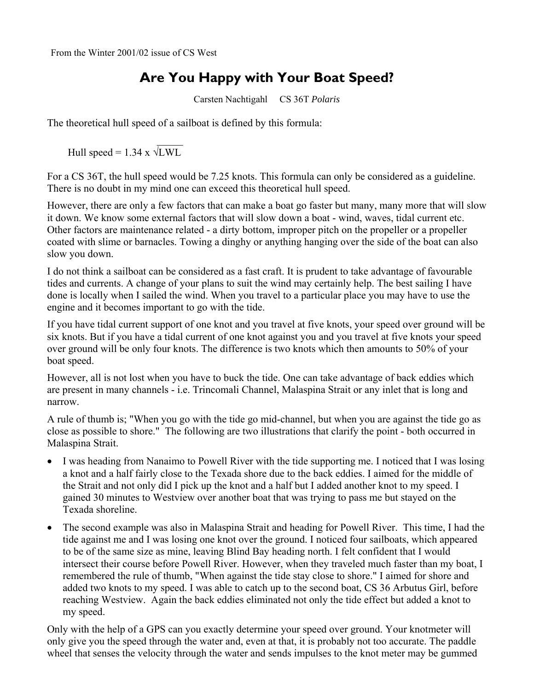## **Are You Happy with Your Boat Speed?**

Carsten Nachtigahl CS 36T *Polaris*

The theoretical hull speed of a sailboat is defined by this formula:

 $\mathcal{L}_\text{max}$  and  $\mathcal{L}_\text{max}$  and  $\mathcal{L}_\text{max}$ Hull speed =  $1.34 \times \sqrt{LWL}$ 

For a CS 36T, the hull speed would be 7.25 knots. This formula can only be considered as a guideline. There is no doubt in my mind one can exceed this theoretical hull speed.

However, there are only a few factors that can make a boat go faster but many, many more that will slow it down. We know some external factors that will slow down a boat - wind, waves, tidal current etc. Other factors are maintenance related - a dirty bottom, improper pitch on the propeller or a propeller coated with slime or barnacles. Towing a dinghy or anything hanging over the side of the boat can also slow you down.

I do not think a sailboat can be considered as a fast craft. It is prudent to take advantage of favourable tides and currents. A change of your plans to suit the wind may certainly help. The best sailing I have done is locally when I sailed the wind. When you travel to a particular place you may have to use the engine and it becomes important to go with the tide.

If you have tidal current support of one knot and you travel at five knots, your speed over ground will be six knots. But if you have a tidal current of one knot against you and you travel at five knots your speed over ground will be only four knots. The difference is two knots which then amounts to 50% of your boat speed.

However, all is not lost when you have to buck the tide. One can take advantage of back eddies which are present in many channels - i.e. Trincomali Channel, Malaspina Strait or any inlet that is long and narrow.

A rule of thumb is; "When you go with the tide go mid-channel, but when you are against the tide go as close as possible to shore." The following are two illustrations that clarify the point - both occurred in Malaspina Strait.

- I was heading from Nanaimo to Powell River with the tide supporting me. I noticed that I was losing a knot and a half fairly close to the Texada shore due to the back eddies. I aimed for the middle of the Strait and not only did I pick up the knot and a half but I added another knot to my speed. I gained 30 minutes to Westview over another boat that was trying to pass me but stayed on the Texada shoreline.
- The second example was also in Malaspina Strait and heading for Powell River. This time, I had the tide against me and I was losing one knot over the ground. I noticed four sailboats, which appeared to be of the same size as mine, leaving Blind Bay heading north. I felt confident that I would intersect their course before Powell River. However, when they traveled much faster than my boat, I remembered the rule of thumb, "When against the tide stay close to shore." I aimed for shore and added two knots to my speed. I was able to catch up to the second boat, CS 36 Arbutus Girl, before reaching Westview. Again the back eddies eliminated not only the tide effect but added a knot to my speed.

Only with the help of a GPS can you exactly determine your speed over ground. Your knotmeter will only give you the speed through the water and, even at that, it is probably not too accurate. The paddle wheel that senses the velocity through the water and sends impulses to the knot meter may be gummed